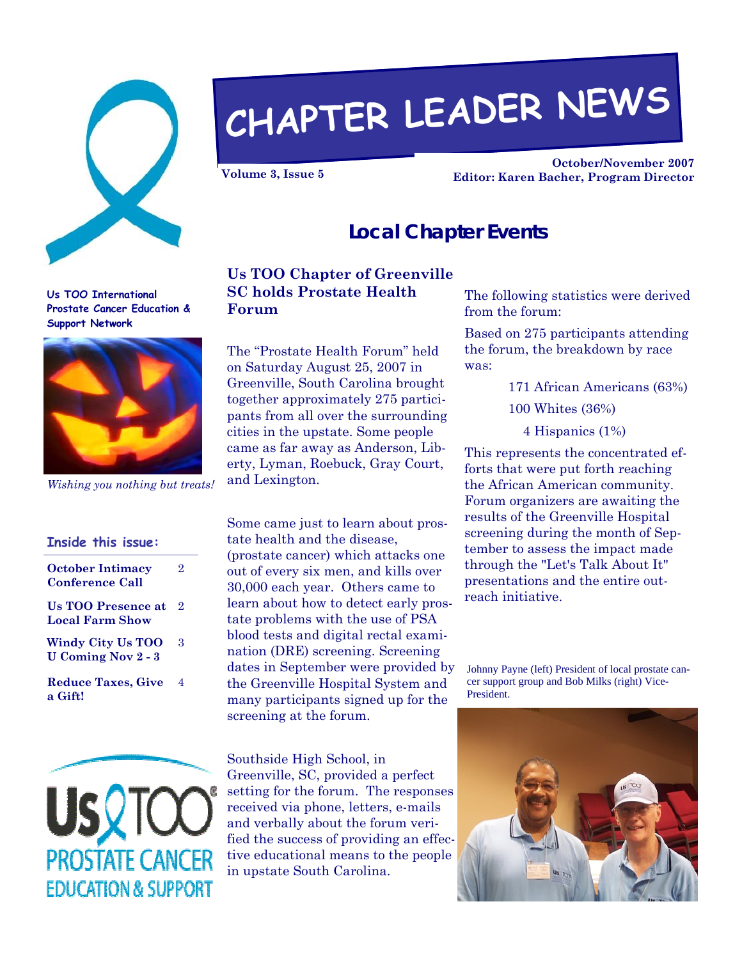

# **CHAPTER LEADER NEWS**

**October/November 2007 Volume 3, Issue 5 Editor: Karen Bacher, Program Director** 

#### **Local Chapter Events**

**Us TOO International Prostate Cancer Education & Support Network** 



*Wishing you nothing but treats!* 

| Inside this issue:                                    |                |
|-------------------------------------------------------|----------------|
| <b>October Intimacy</b><br><b>Conference Call</b>     | 9.             |
| <b>Us TOO Presence at</b><br>Local Farm Show          | 2              |
| <b>Windy City Us TOO</b><br><b>U</b> Coming Nov 2 - 3 | 3              |
| <b>Reduce Taxes, Give</b><br>a Gift!                  | $\overline{A}$ |



### **Us TOO Chapter of Greenville SC holds Prostate Health**

The "Prostate Health Forum" held on Saturday August 25, 2007 in Greenville, South Carolina brought together approximately 275 participants from all over the surrounding cities in the upstate. Some people came as far away as Anderson, Liberty, Lyman, Roebuck, Gray Court, and Lexington.

Some came just to learn about prostate health and the disease, (prostate cancer) which attacks one out of every six men, and kills over 30,000 each year. Others came to learn about how to detect early prostate problems with the use of PSA blood tests and digital rectal examination (DRE) screening. Screening dates in September were provided by the Greenville Hospital System and many participants signed up for the screening at the forum.

Southside High School, in Greenville, SC, provided a perfect setting for the forum. The responses received via phone, letters, e-mails and verbally about the forum verified the success of providing an effective educational means to the people in upstate South Carolina.

The following statistics were derived from the forum:

Based on 275 participants attending the forum, the breakdown by race was:

- 171 African Americans (63%)
- 100 Whites (36%)
	- 4 Hispanics (1%)

This represents the concentrated efforts that were put forth reaching the African American community. Forum organizers are awaiting the results of the Greenville Hospital screening during the month of September to assess the impact made through the "Let's Talk About It" presentations and the entire outreach initiative.

Johnny Payne (left) President of local prostate cancer support group and Bob Milks (right) Vice-President.



**Forum**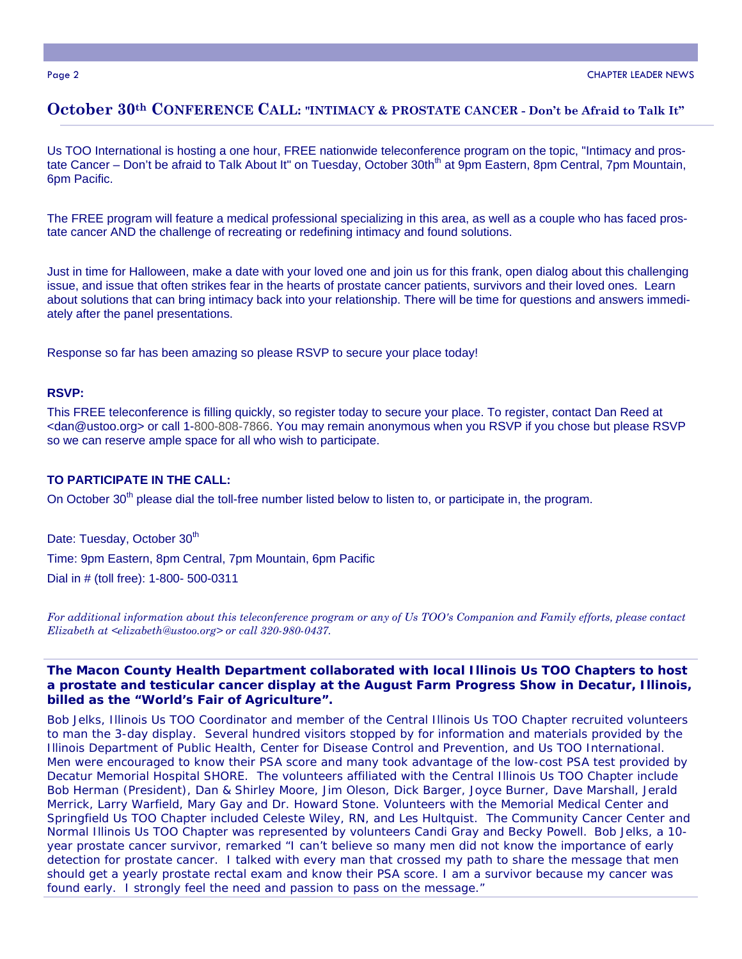#### **October 30th CONFERENCE CALL: "INTIMACY & PROSTATE CANCER - Don't be Afraid to Talk It"**

Us TOO International is hosting a one hour, FREE nationwide teleconference program on the topic, "Intimacy and prostate Cancer – Don't be afraid to Talk About It" on Tuesday, October 30th<sup>th</sup> at 9pm Eastern, 8pm Central, 7pm Mountain, 6pm Pacific.

The FREE program will feature a medical professional specializing in this area, as well as a couple who has faced prostate cancer AND the challenge of recreating or redefining intimacy and found solutions.

Just in time for Halloween, make a date with your loved one and join us for this frank, open dialog about this challenging issue, and issue that often strikes fear in the hearts of prostate cancer patients, survivors and their loved ones. Learn about solutions that can bring intimacy back into your relationship. There will be time for questions and answers immediately after the panel presentations.

Response so far has been amazing so please RSVP to secure your place today!

#### **RSVP:**

This FREE teleconference is filling quickly, so register today to secure your place. To register, contact Dan Reed at <dan@ustoo.org> or call 1-800-808-7866. You may remain anonymous when you RSVP if you chose but please RSVP so we can reserve ample space for all who wish to participate.

#### **TO PARTICIPATE IN THE CALL:**

On October 30<sup>th</sup> please dial the toll-free number listed below to listen to, or participate in, the program.

Date: Tuesday, October 30<sup>th</sup> Time: 9pm Eastern, 8pm Central, 7pm Mountain, 6pm Pacific Dial in # (toll free): 1-800- 500-0311

*For additional information about this teleconference program or any of Us TOO's Companion and Family efforts, please contact Elizabeth at <elizabeth@ustoo.org> or call 320-980-0437.*

#### **The Macon County Health Department collaborated with local Illinois Us TOO Chapters to host a prostate and testicular cancer display at the August Farm Progress Show in Decatur, Illinois, billed as the "World's Fair of Agriculture".**

Bob Jelks, Illinois Us TOO Coordinator and member of the Central Illinois Us TOO Chapter recruited volunteers to man the 3-day display. Several hundred visitors stopped by for information and materials provided by the Illinois Department of Public Health, Center for Disease Control and Prevention, and Us TOO International. Men were encouraged to know their PSA score and many took advantage of the low-cost PSA test provided by Decatur Memorial Hospital SHORE. The volunteers affiliated with the Central Illinois Us TOO Chapter include Bob Herman (President), Dan & Shirley Moore, Jim Oleson, Dick Barger, Joyce Burner, Dave Marshall, Jerald Merrick, Larry Warfield, Mary Gay and Dr. Howard Stone. Volunteers with the Memorial Medical Center and Springfield Us TOO Chapter included Celeste Wiley, RN, and Les Hultquist. The Community Cancer Center and Normal Illinois Us TOO Chapter was represented by volunteers Candi Gray and Becky Powell. Bob Jelks, a 10 year prostate cancer survivor, remarked "I can't believe so many men did not know the importance of early detection for prostate cancer. I talked with every man that crossed my path to share the message that men should get a yearly prostate rectal exam and know their PSA score. I am a survivor because my cancer was found early. I strongly feel the need and passion to pass on the message."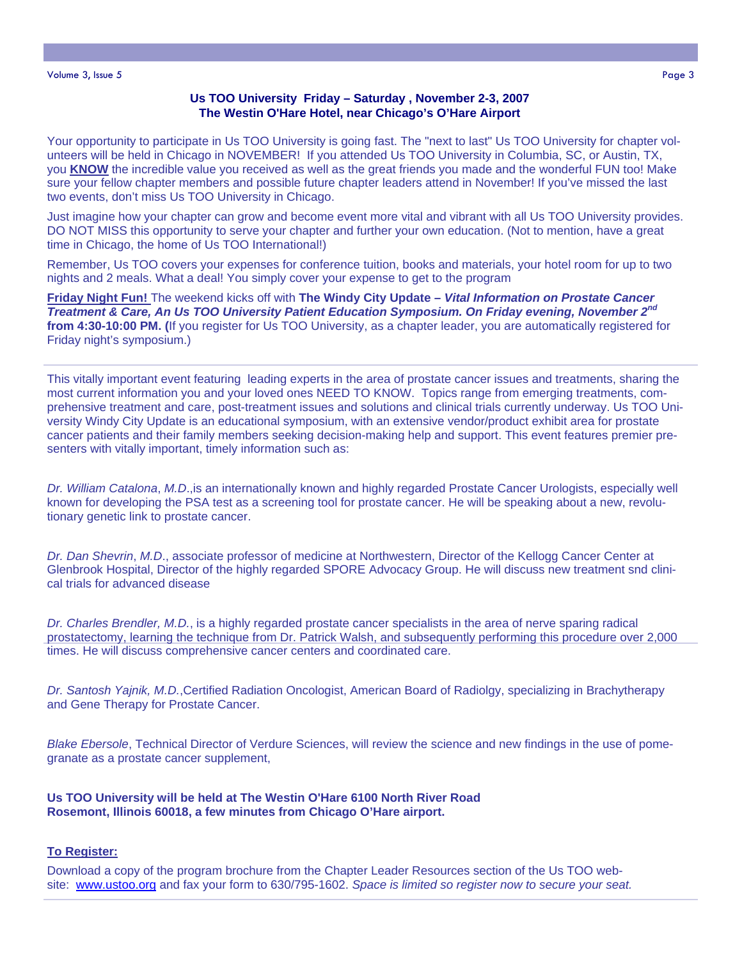#### **Us TOO University Friday – Saturday , November 2-3, 2007 The Westin O'Hare Hotel, near Chicago's O'Hare Airport**

Your opportunity to participate in Us TOO University is going fast. The "next to last" Us TOO University for chapter volunteers will be held in Chicago in NOVEMBER! If you attended Us TOO University in Columbia, SC, or Austin, TX, you **KNOW** the incredible value you received as well as the great friends you made and the wonderful FUN too! Make sure your fellow chapter members and possible future chapter leaders attend in November! If you've missed the last two events, don't miss Us TOO University in Chicago.

Just imagine how your chapter can grow and become event more vital and vibrant with all Us TOO University provides. DO NOT MISS this opportunity to serve your chapter and further your own education. (Not to mention, have a great time in Chicago, the home of Us TOO International!)

Remember, Us TOO covers your expenses for conference tuition, books and materials, your hotel room for up to two nights and 2 meals. What a deal! You simply cover your expense to get to the program

**Friday Night Fun!** The weekend kicks off with **The Windy City Update –** *Vital Information on Prostate Cancer Treatment & Care, An Us TOO University Patient Education Symposium. On Friday evening, November 2nd* **from 4:30-10:00 PM. (**If you register for Us TOO University, as a chapter leader, you are automatically registered for Friday night's symposium.)

This vitally important event featuring leading experts in the area of prostate cancer issues and treatments, sharing the most current information you and your loved ones NEED TO KNOW. Topics range from emerging treatments, comprehensive treatment and care, post-treatment issues and solutions and clinical trials currently underway. Us TOO University Windy City Update is an educational symposium, with an extensive vendor/product exhibit area for prostate cancer patients and their family members seeking decision-making help and support. This event features premier presenters with vitally important, timely information such as:

*Dr. William Catalona*, *M.D*.,is an internationally known and highly regarded Prostate Cancer Urologists, especially well known for developing the PSA test as a screening tool for prostate cancer. He will be speaking about a new, revolutionary genetic link to prostate cancer.

*Dr. Dan Shevrin*, *M.D*., associate professor of medicine at Northwestern, Director of the Kellogg Cancer Center at Glenbrook Hospital, Director of the highly regarded SPORE Advocacy Group. He will discuss new treatment snd clinical trials for advanced disease

*Dr. Charles Brendler, M.D.*, is a highly regarded prostate cancer specialists in the area of nerve sparing radical prostatectomy, learning the technique from Dr. Patrick Walsh, and subsequently performing this procedure over 2,000 times. He will discuss comprehensive cancer centers and coordinated care.

*Dr. Santosh Yajnik, M.D.*,Certified Radiation Oncologist, American Board of Radiolgy, specializing in Brachytherapy and Gene Therapy for Prostate Cancer.

*Blake Ebersole*, Technical Director of Verdure Sciences, will review the science and new findings in the use of pomegranate as a prostate cancer supplement,

**Us TOO University will be held at The Westin O'Hare 6100 North River Road Rosemont, Illinois 60018, a few minutes from Chicago O'Hare airport.**

#### **To Register:**

Download a copy of the program brochure from the Chapter Leader Resources section of the Us TOO website: www.ustoo.org and fax your form to 630/795-1602. *Space is limited so register now to secure your seat.*